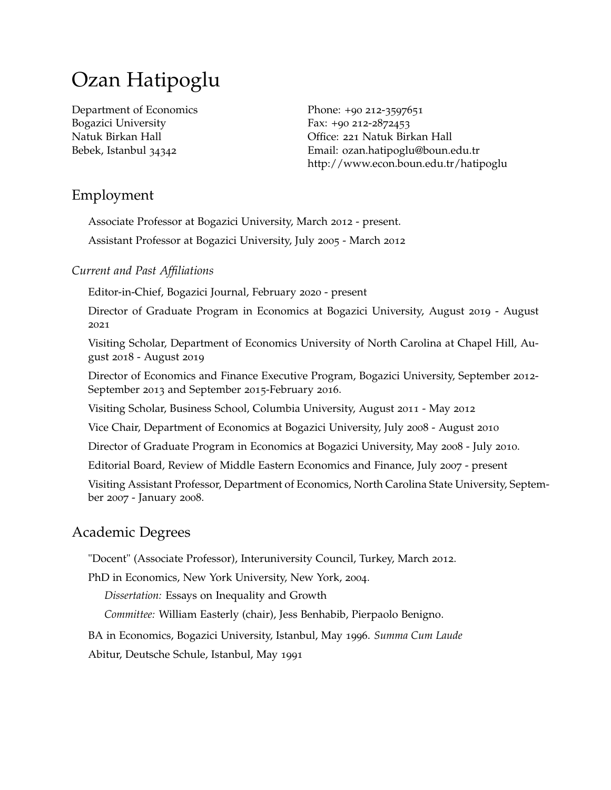# Ozan Hatipoglu

Department of Economics Bogazici University Natuk Birkan Hall Bebek, Istanbul 34342

Phone: +90 212-3597651 Fax: +90 212-2872453 Office: 221 Natuk Birkan Hall Email: [ozan.hatipoglu@boun.edu.tr](mailto:ozan.hatipoglu@boun.edu.tr) <http://www.econ.boun.edu.tr/hatipoglu>

# Employment

Associate Professor at Bogazici University, March 2012 - present.

Assistant Professor at Bogazici University, July 2005 - March 2012

# *Current and Past Affiliations*

Editor-in-Chief, Bogazici Journal, February 2020 - present

Director of Graduate Program in Economics at Bogazici University, August 2019 - August 2021

Visiting Scholar, Department of Economics University of North Carolina at Chapel Hill, August 2018 - August 2019

Director of Economics and Finance Executive Program, Bogazici University, September 2012- September 2013 and September 2015-February 2016.

Visiting Scholar, Business School, Columbia University, August 2011 - May 2012

Vice Chair, Department of Economics at Bogazici University, July 2008 - August 2010

Director of Graduate Program in Economics at Bogazici University, May 2008 - July 2010.

Editorial Board, Review of Middle Eastern Economics and Finance, July 2007 - present

Visiting Assistant Professor, Department of Economics, North Carolina State University, September 2007 - January 2008.

# Academic Degrees

"Docent" (Associate Professor), Interuniversity Council, Turkey, March 2012.

PhD in Economics, New York University, New York, 2004.

*Dissertation:* Essays on Inequality and Growth

*Committee:* William Easterly (chair), Jess Benhabib, Pierpaolo Benigno.

BA in Economics, Bogazici University, Istanbul, May 1996. *Summa Cum Laude*

Abitur, Deutsche Schule, Istanbul, May 1991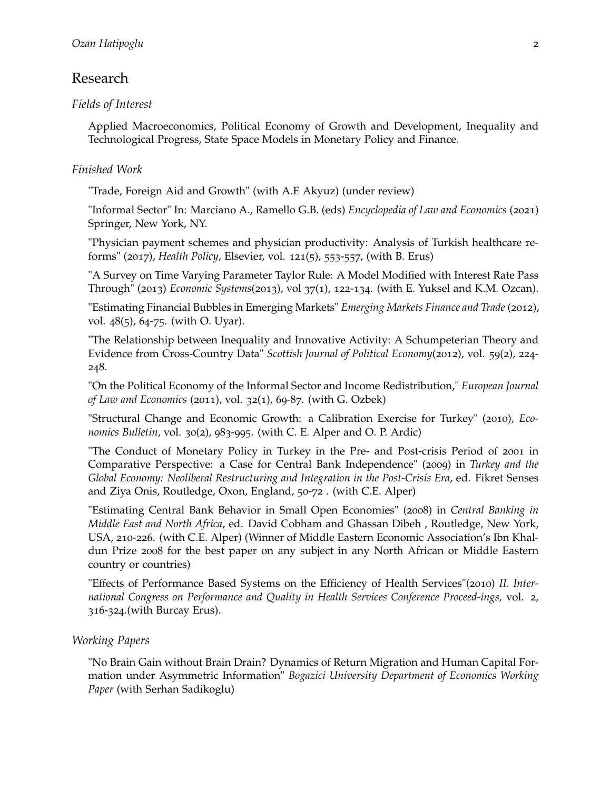# Research

## *Fields of Interest*

Applied Macroeconomics, Political Economy of Growth and Development, Inequality and Technological Progress, State Space Models in Monetary Policy and Finance.

## *Finished Work*

"Trade, Foreign Aid and Growth" (with A.E Akyuz) (under review)

"Informal Sector" In: Marciano A., Ramello G.B. (eds) *Encyclopedia of Law and Economics* (2021) Springer, New York, NY.

"Physician payment schemes and physician productivity: Analysis of Turkish healthcare reforms" (2017), *Health Policy*, Elsevier, vol. 121(5), 553-557, (with B. Erus)

"A Survey on Time Varying Parameter Taylor Rule: A Model Modified with Interest Rate Pass Through" (2013) *Economic Systems*(2013), vol 37(1), 122-134. (with E. Yuksel and K.M. Ozcan).

"Estimating Financial Bubbles in Emerging Markets" *Emerging Markets Finance and Trade* (2012), vol. 48(5), 64-75. (with O. Uyar).

"The Relationship between Inequality and Innovative Activity: A Schumpeterian Theory and Evidence from Cross-Country Data" *Scottish Journal of Political Economy*(2012), vol. 59(2), 224- 248.

"On the Political Economy of the Informal Sector and Income Redistribution," *European Journal of Law and Economics* (2011), vol. 32(1), 69-87. (with G. Ozbek)

"Structural Change and Economic Growth: a Calibration Exercise for Turkey" (2010), *Economics Bulletin*, vol. 30(2), 983-995. (with C. E. Alper and O. P. Ardic)

"The Conduct of Monetary Policy in Turkey in the Pre- and Post-crisis Period of 2001 in Comparative Perspective: a Case for Central Bank Independence" (2009) in *Turkey and the Global Economy: Neoliberal Restructuring and Integration in the Post-Crisis Era*, ed. Fikret Senses and Ziya Onis, Routledge, Oxon, England, 50-72 . (with C.E. Alper)

"Estimating Central Bank Behavior in Small Open Economies" (2008) in *Central Banking in Middle East and North Africa*, ed. David Cobham and Ghassan Dibeh , Routledge, New York, USA, 210-226. (with C.E. Alper) (Winner of Middle Eastern Economic Association's Ibn Khaldun Prize 2008 for the best paper on any subject in any North African or Middle Eastern country or countries)

"Effects of Performance Based Systems on the Efficiency of Health Services"(2010) *II. International Congress on Performance and Quality in Health Services Conference Proceed-ings,* vol. 2, 316-324.(with Burcay Erus).

# *Working Papers*

"No Brain Gain without Brain Drain? Dynamics of Return Migration and Human Capital Formation under Asymmetric Information" *Bogazici University Department of Economics Working Paper* (with Serhan Sadikoglu)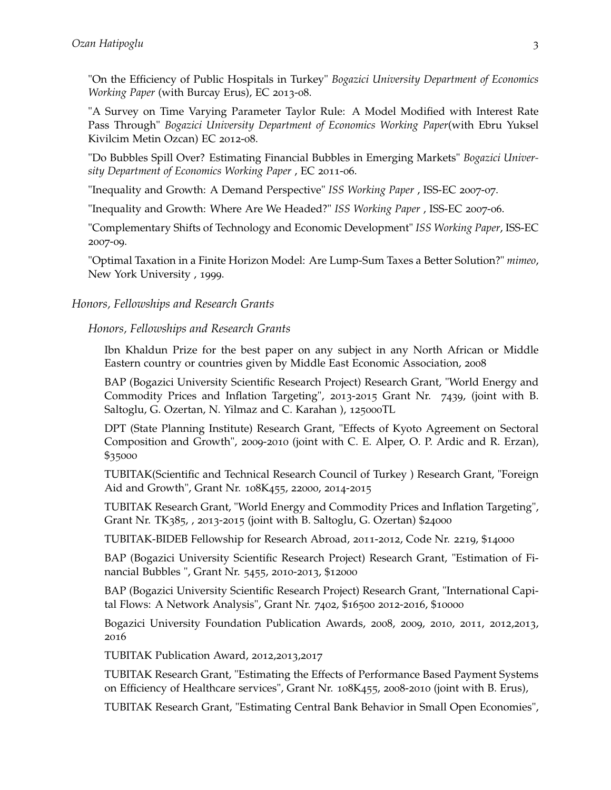"On the Efficiency of Public Hospitals in Turkey" *Bogazici University Department of Economics Working Paper* (with Burcay Erus), EC 2013-08.

"A Survey on Time Varying Parameter Taylor Rule: A Model Modified with Interest Rate Pass Through" *Bogazici University Department of Economics Working Paper*(with Ebru Yuksel Kivilcim Metin Ozcan) EC 2012-08.

"Do Bubbles Spill Over? Estimating Financial Bubbles in Emerging Markets" *Bogazici University Department of Economics Working Paper* , EC 2011-06.

"Inequality and Growth: A Demand Perspective" *ISS Working Paper* , ISS-EC 2007-07.

"Inequality and Growth: Where Are We Headed?" *ISS Working Paper* , ISS-EC 2007-06.

"Complementary Shifts of Technology and Economic Development" *ISS Working Paper*, ISS-EC 2007-09.

"Optimal Taxation in a Finite Horizon Model: Are Lump-Sum Taxes a Better Solution?" *mimeo*, New York University , 1999.

### *Honors, Fellowships and Research Grants*

### *Honors, Fellowships and Research Grants*

Ibn Khaldun Prize for the best paper on any subject in any North African or Middle Eastern country or countries given by Middle East Economic Association, 2008

BAP (Bogazici University Scientific Research Project) Research Grant, "World Energy and Commodity Prices and Inflation Targeting", 2013-2015 Grant Nr. 7439, (joint with B. Saltoglu, G. Ozertan, N. Yilmaz and C. Karahan ), 125000TL

DPT (State Planning Institute) Research Grant, "Effects of Kyoto Agreement on Sectoral Composition and Growth", 2009-2010 (joint with C. E. Alper, O. P. Ardic and R. Erzan), \$35000

TUBITAK(Scientific and Technical Research Council of Turkey ) Research Grant, "Foreign Aid and Growth", Grant Nr. 108K455, 22000, 2014-2015

TUBITAK Research Grant, "World Energy and Commodity Prices and Inflation Targeting", Grant Nr. TK385, , 2013-2015 (joint with B. Saltoglu, G. Ozertan) \$24000

TUBITAK-BIDEB Fellowship for Research Abroad, 2011-2012, Code Nr. 2219, \$14000

BAP (Bogazici University Scientific Research Project) Research Grant, "Estimation of Financial Bubbles ", Grant Nr. 5455, 2010-2013, \$12000

BAP (Bogazici University Scientific Research Project) Research Grant, "International Capital Flows: A Network Analysis", Grant Nr. 7402, \$16500 2012-2016, \$10000

Bogazici University Foundation Publication Awards, 2008, 2009, 2010, 2011, 2012,2013, 2016

TUBITAK Publication Award, 2012,2013,2017

TUBITAK Research Grant, "Estimating the Effects of Performance Based Payment Systems on Efficiency of Healthcare services", Grant Nr. 108K455, 2008-2010 (joint with B. Erus),

TUBITAK Research Grant, "Estimating Central Bank Behavior in Small Open Economies",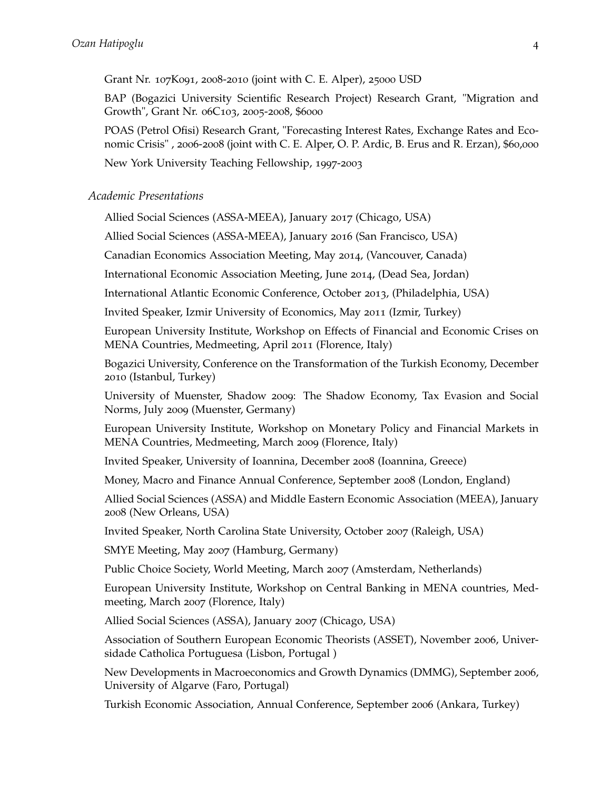Grant Nr. 107K091, 2008-2010 (joint with C. E. Alper), 25000 USD

BAP (Bogazici University Scientific Research Project) Research Grant, "Migration and Growth", Grant Nr. 06C103, 2005-2008, \$6000

POAS (Petrol Ofisi) Research Grant, "Forecasting Interest Rates, Exchange Rates and Economic Crisis" , 2006-2008 (joint with C. E. Alper, O. P. Ardic, B. Erus and R. Erzan), \$60,000

New York University Teaching Fellowship, 1997-2003

### *Academic Presentations*

Allied Social Sciences (ASSA-MEEA), January 2017 (Chicago, USA)

Allied Social Sciences (ASSA-MEEA), January 2016 (San Francisco, USA)

Canadian Economics Association Meeting, May 2014, (Vancouver, Canada)

International Economic Association Meeting, June 2014, (Dead Sea, Jordan)

International Atlantic Economic Conference, October 2013, (Philadelphia, USA)

Invited Speaker, Izmir University of Economics, May 2011 (Izmir, Turkey)

European University Institute, Workshop on Effects of Financial and Economic Crises on MENA Countries, Medmeeting, April 2011 (Florence, Italy)

Bogazici University, Conference on the Transformation of the Turkish Economy, December 2010 (Istanbul, Turkey)

University of Muenster, Shadow 2009: The Shadow Economy, Tax Evasion and Social Norms, July 2009 (Muenster, Germany)

European University Institute, Workshop on Monetary Policy and Financial Markets in MENA Countries, Medmeeting, March 2009 (Florence, Italy)

Invited Speaker, University of Ioannina, December 2008 (Ioannina, Greece)

Money, Macro and Finance Annual Conference, September 2008 (London, England)

Allied Social Sciences (ASSA) and Middle Eastern Economic Association (MEEA), January 2008 (New Orleans, USA)

Invited Speaker, North Carolina State University, October 2007 (Raleigh, USA)

SMYE Meeting, May 2007 (Hamburg, Germany)

Public Choice Society, World Meeting, March 2007 (Amsterdam, Netherlands)

European University Institute, Workshop on Central Banking in MENA countries, Medmeeting, March 2007 (Florence, Italy)

Allied Social Sciences (ASSA), January 2007 (Chicago, USA)

Association of Southern European Economic Theorists (ASSET), November 2006, Universidade Catholica Portuguesa (Lisbon, Portugal )

New Developments in Macroeconomics and Growth Dynamics (DMMG), September 2006, University of Algarve (Faro, Portugal)

Turkish Economic Association, Annual Conference, September 2006 (Ankara, Turkey)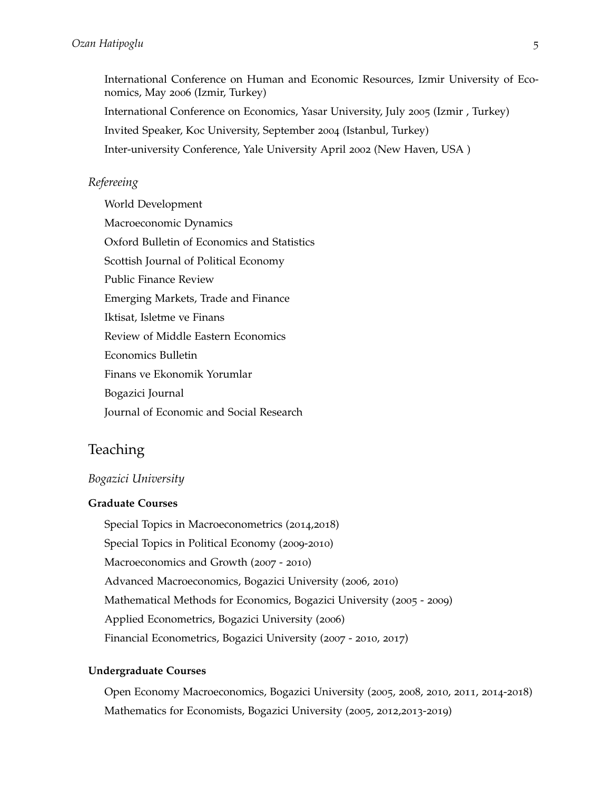International Conference on Human and Economic Resources, Izmir University of Economics, May 2006 (Izmir, Turkey) International Conference on Economics, Yasar University, July 2005 (Izmir , Turkey) Invited Speaker, Koc University, September 2004 (Istanbul, Turkey) Inter-university Conference, Yale University April 2002 (New Haven, USA )

## *Refereeing*

World Development Macroeconomic Dynamics Oxford Bulletin of Economics and Statistics Scottish Journal of Political Economy Public Finance Review Emerging Markets, Trade and Finance Iktisat, Isletme ve Finans Review of Middle Eastern Economics Economics Bulletin Finans ve Ekonomik Yorumlar Bogazici Journal Journal of Economic and Social Research

# Teaching

#### *Bogazici University*

#### **Graduate Courses**

Special Topics in Macroeconometrics (2014,2018) Special Topics in Political Economy (2009-2010) Macroeconomics and Growth (2007 - 2010) Advanced Macroeconomics, Bogazici University (2006, 2010) Mathematical Methods for Economics, Bogazici University (2005 - 2009) Applied Econometrics, Bogazici University (2006) Financial Econometrics, Bogazici University (2007 - 2010, 2017)

#### **Undergraduate Courses**

Open Economy Macroeconomics, Bogazici University (2005, 2008, 2010, 2011, 2014-2018) Mathematics for Economists, Bogazici University (2005, 2012,2013-2019)